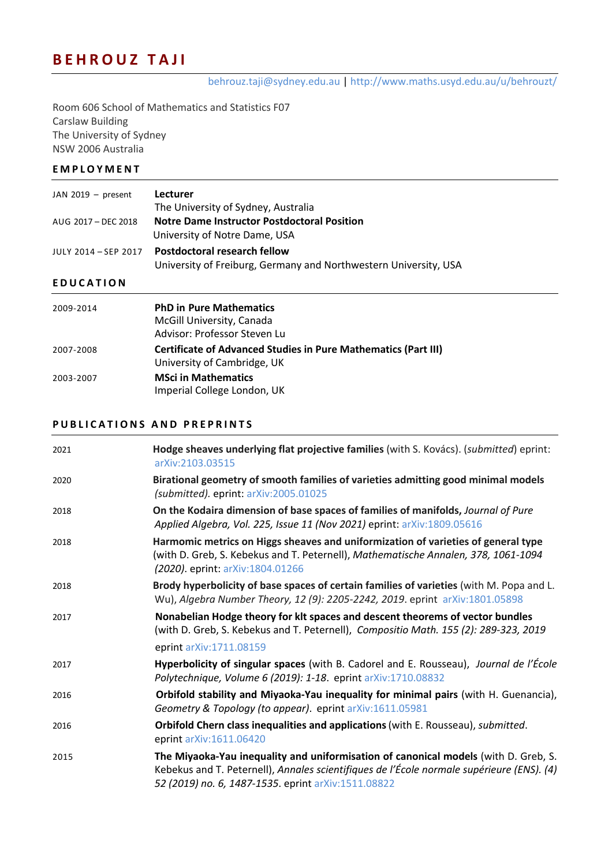# **BEHROUZ TAJI**

behrouz.taji@sydney.edu.au | http://www.maths.usyd.edu.au/u/behrouzt/

Room 606 School of Mathematics and Statistics F07 Carslaw Building The University of Sydney NSW 2006 Australia

#### **EMPLOYMENT**

| JAN 2019 $-$ present | Lecturer<br>The University of Sydney, Australia                                                  |
|----------------------|--------------------------------------------------------------------------------------------------|
| AUG 2017 - DEC 2018  | <b>Notre Dame Instructor Postdoctoral Position</b><br>University of Notre Dame, USA              |
| JULY 2014 - SEP 2017 | Postdoctoral research fellow<br>University of Freiburg, Germany and Northwestern University, USA |

### **EDUCATION**

| 2009-2014 | <b>PhD in Pure Mathematics</b><br>McGill University, Canada<br>Advisor: Professor Steven Lu          |
|-----------|------------------------------------------------------------------------------------------------------|
| 2007-2008 | <b>Certificate of Advanced Studies in Pure Mathematics (Part III)</b><br>University of Cambridge, UK |
| 2003-2007 | <b>MSci in Mathematics</b><br>Imperial College London, UK                                            |

#### **PUBLICATION S AND PREPRINTS**

| 2021 | Hodge sheaves underlying flat projective families (with S. Kovács). (submitted) eprint:<br>arXiv:2103.03515                                                                                                                             |
|------|-----------------------------------------------------------------------------------------------------------------------------------------------------------------------------------------------------------------------------------------|
| 2020 | Birational geometry of smooth families of varieties admitting good minimal models<br>(submitted). eprint: arXiv:2005.01025                                                                                                              |
| 2018 | On the Kodaira dimension of base spaces of families of manifolds, Journal of Pure<br>Applied Algebra, Vol. 225, Issue 11 (Nov 2021) eprint: arXiv:1809.05616                                                                            |
| 2018 | Harmomic metrics on Higgs sheaves and uniformization of varieties of general type<br>(with D. Greb, S. Kebekus and T. Peternell), Mathematische Annalen, 378, 1061-1094<br>(2020). eprint: arXiv:1804.01266                             |
| 2018 | Brody hyperbolicity of base spaces of certain families of varieties (with M. Popa and L.<br>Wu), Algebra Number Theory, 12 (9): 2205-2242, 2019. eprint arXiv:1801.05898                                                                |
| 2017 | Nonabelian Hodge theory for klt spaces and descent theorems of vector bundles<br>(with D. Greb, S. Kebekus and T. Peternell), Compositio Math. 155 (2): 289-323, 2019                                                                   |
|      | eprint arXiv:1711.08159                                                                                                                                                                                                                 |
| 2017 | Hyperbolicity of singular spaces (with B. Cadorel and E. Rousseau), Journal de l'École<br>Polytechnique, Volume 6 (2019): 1-18. eprint arXiv:1710.08832                                                                                 |
| 2016 | Orbifold stability and Miyaoka-Yau inequality for minimal pairs (with H. Guenancia),<br>Geometry & Topology (to appear). eprint arXiv:1611.05981                                                                                        |
| 2016 | Orbifold Chern class inequalities and applications (with E. Rousseau), submitted.<br>eprint arXiv:1611.06420                                                                                                                            |
| 2015 | The Miyaoka-Yau inequality and uniformisation of canonical models (with D. Greb, S.<br>Kebekus and T. Peternell), Annales scientifiques de l'École normale supérieure (ENS). (4)<br>52 (2019) no. 6, 1487-1535. eprint arXiv:1511.08822 |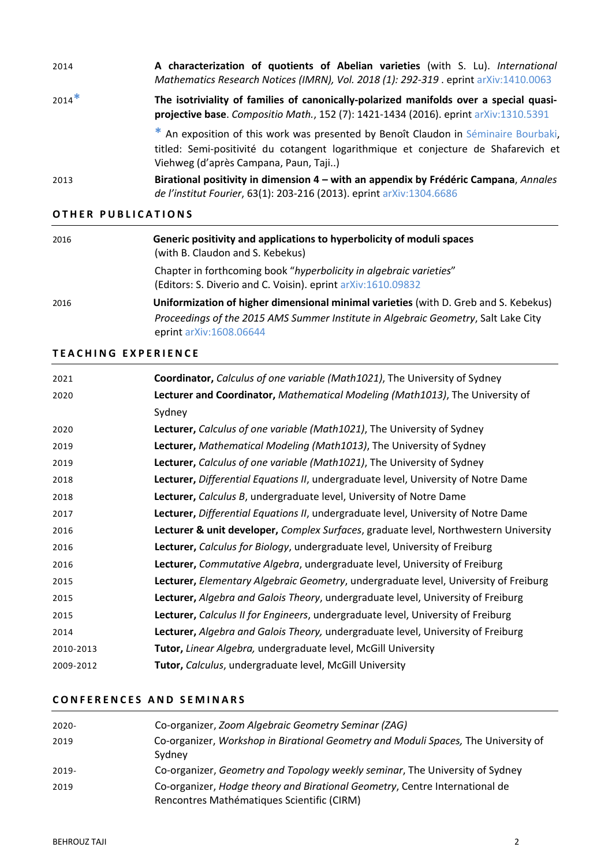| 2014    | A characterization of quotients of Abelian varieties (with S. Lu). International<br>Mathematics Research Notices (IMRN), Vol. 2018 (1): 292-319 . eprint arXiv:1410.0063                                           |
|---------|--------------------------------------------------------------------------------------------------------------------------------------------------------------------------------------------------------------------|
| $2014*$ | The isotriviality of families of canonically-polarized manifolds over a special quasi-<br>projective base. Compositio Math., 152 (7): 1421-1434 (2016). eprint arXiv:1310.5391                                     |
|         | * An exposition of this work was presented by Benoît Claudon in Séminaire Bourbaki,<br>titled: Semi-positivité du cotangent logarithmique et conjecture de Shafarevich et<br>Viehweg (d'après Campana, Paun, Taji) |
| 2013    | Birational positivity in dimension 4 – with an appendix by Frédéric Campana, Annales<br>de l'institut Fourier, 63(1): 203-216 (2013). eprint arXiv:1304.6686                                                       |

#### **OTHER PUBLICATIONS**

| 2016 | Generic positivity and applications to hyperbolicity of moduli spaces<br>(with B. Claudon and S. Kebekus)                          |
|------|------------------------------------------------------------------------------------------------------------------------------------|
|      | Chapter in forthcoming book "hyperbolicity in algebraic varieties"<br>(Editors: S. Diverio and C. Voisin). eprint arXiv:1610.09832 |
| 2016 | Uniformization of higher dimensional minimal varieties (with D. Greb and S. Kebekus)                                               |
|      | Proceedings of the 2015 AMS Summer Institute in Algebraic Geometry, Salt Lake City<br>eprint arXiv:1608.06644                      |

#### **TEACHING EXPERIENCE**

| 2021      | Coordinator, Calculus of one variable (Math1021), The University of Sydney           |
|-----------|--------------------------------------------------------------------------------------|
| 2020      | Lecturer and Coordinator, Mathematical Modeling (Math1013), The University of        |
|           | Sydney                                                                               |
| 2020      | Lecturer, Calculus of one variable (Math1021), The University of Sydney              |
| 2019      | Lecturer, Mathematical Modeling (Math1013), The University of Sydney                 |
| 2019      | Lecturer, Calculus of one variable (Math1021), The University of Sydney              |
| 2018      | Lecturer, Differential Equations II, undergraduate level, University of Notre Dame   |
| 2018      | Lecturer, Calculus B, undergraduate level, University of Notre Dame                  |
| 2017      | Lecturer, Differential Equations II, undergraduate level, University of Notre Dame   |
| 2016      | Lecturer & unit developer, Complex Surfaces, graduate level, Northwestern University |
| 2016      | Lecturer, Calculus for Biology, undergraduate level, University of Freiburg          |
| 2016      | Lecturer, Commutative Algebra, undergraduate level, University of Freiburg           |
| 2015      | Lecturer, Elementary Algebraic Geometry, undergraduate level, University of Freiburg |
| 2015      | Lecturer, Algebra and Galois Theory, undergraduate level, University of Freiburg     |
| 2015      | Lecturer, Calculus II for Engineers, undergraduate level, University of Freiburg     |
| 2014      | Lecturer, Algebra and Galois Theory, undergraduate level, University of Freiburg     |
| 2010-2013 | Tutor, Linear Algebra, undergraduate level, McGill University                        |
| 2009-2012 | Tutor, Calculus, undergraduate level, McGill University                              |

## **CONFERENCE S AND SEMINAR S**

| $2020 -$ | Co-organizer, Zoom Algebraic Geometry Seminar (ZAG)                                                                       |
|----------|---------------------------------------------------------------------------------------------------------------------------|
| 2019     | Co-organizer, Workshop in Birational Geometry and Moduli Spaces, The University of<br>Sydney                              |
| $2019 -$ | Co-organizer, Geometry and Topology weekly seminar, The University of Sydney                                              |
| 2019     | Co-organizer, Hodge theory and Birational Geometry, Centre International de<br>Rencontres Mathématiques Scientific (CIRM) |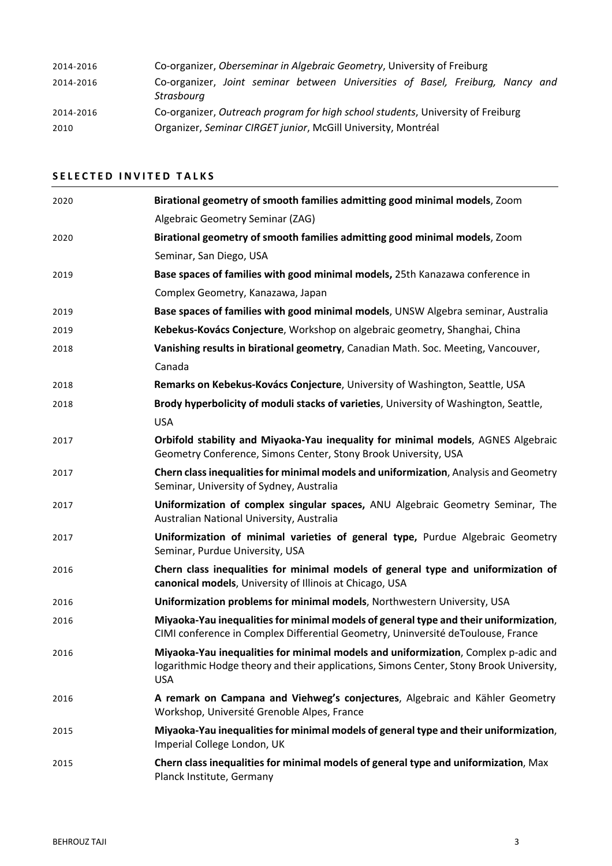| 2014-2016 | Co-organizer, Oberseminar in Algebraic Geometry, University of Freiburg                      |
|-----------|----------------------------------------------------------------------------------------------|
| 2014-2016 | Co-organizer, Joint seminar between Universities of Basel, Freiburg, Nancy and<br>Strasbourg |
| 2014-2016 | Co-organizer, Outreach program for high school students, University of Freiburg              |
| 2010      | Organizer, Seminar CIRGET junior, McGill University, Montréal                                |

# **SELECTED INVITED TALKS**

| 2020 | Birational geometry of smooth families admitting good minimal models, Zoom                                                                                                                  |
|------|---------------------------------------------------------------------------------------------------------------------------------------------------------------------------------------------|
|      | Algebraic Geometry Seminar (ZAG)                                                                                                                                                            |
| 2020 | Birational geometry of smooth families admitting good minimal models, Zoom                                                                                                                  |
|      | Seminar, San Diego, USA                                                                                                                                                                     |
| 2019 | Base spaces of families with good minimal models, 25th Kanazawa conference in                                                                                                               |
|      | Complex Geometry, Kanazawa, Japan                                                                                                                                                           |
| 2019 | Base spaces of families with good minimal models, UNSW Algebra seminar, Australia                                                                                                           |
| 2019 | Kebekus-Kovács Conjecture, Workshop on algebraic geometry, Shanghai, China                                                                                                                  |
| 2018 | Vanishing results in birational geometry, Canadian Math. Soc. Meeting, Vancouver,                                                                                                           |
|      | Canada                                                                                                                                                                                      |
| 2018 | Remarks on Kebekus-Kovács Conjecture, University of Washington, Seattle, USA                                                                                                                |
| 2018 | Brody hyperbolicity of moduli stacks of varieties, University of Washington, Seattle,                                                                                                       |
|      | <b>USA</b>                                                                                                                                                                                  |
| 2017 | Orbifold stability and Miyaoka-Yau inequality for minimal models, AGNES Algebraic<br>Geometry Conference, Simons Center, Stony Brook University, USA                                        |
| 2017 | Chern class inequalities for minimal models and uniformization, Analysis and Geometry<br>Seminar, University of Sydney, Australia                                                           |
| 2017 | Uniformization of complex singular spaces, ANU Algebraic Geometry Seminar, The<br>Australian National University, Australia                                                                 |
| 2017 | Uniformization of minimal varieties of general type, Purdue Algebraic Geometry<br>Seminar, Purdue University, USA                                                                           |
| 2016 | Chern class inequalities for minimal models of general type and uniformization of<br>canonical models, University of Illinois at Chicago, USA                                               |
| 2016 | Uniformization problems for minimal models, Northwestern University, USA                                                                                                                    |
| 2016 | Miyaoka-Yau inequalities for minimal models of general type and their uniformization,<br>CIMI conference in Complex Differential Geometry, Uninversité deToulouse, France                   |
| 2016 | Miyaoka-Yau inequalities for minimal models and uniformization, Complex p-adic and<br>logarithmic Hodge theory and their applications, Simons Center, Stony Brook University,<br><b>USA</b> |
| 2016 | A remark on Campana and Viehweg's conjectures, Algebraic and Kähler Geometry<br>Workshop, Université Grenoble Alpes, France                                                                 |
| 2015 | Miyaoka-Yau inequalities for minimal models of general type and their uniformization,<br>Imperial College London, UK                                                                        |
| 2015 | Chern class inequalities for minimal models of general type and uniformization, Max<br>Planck Institute, Germany                                                                            |